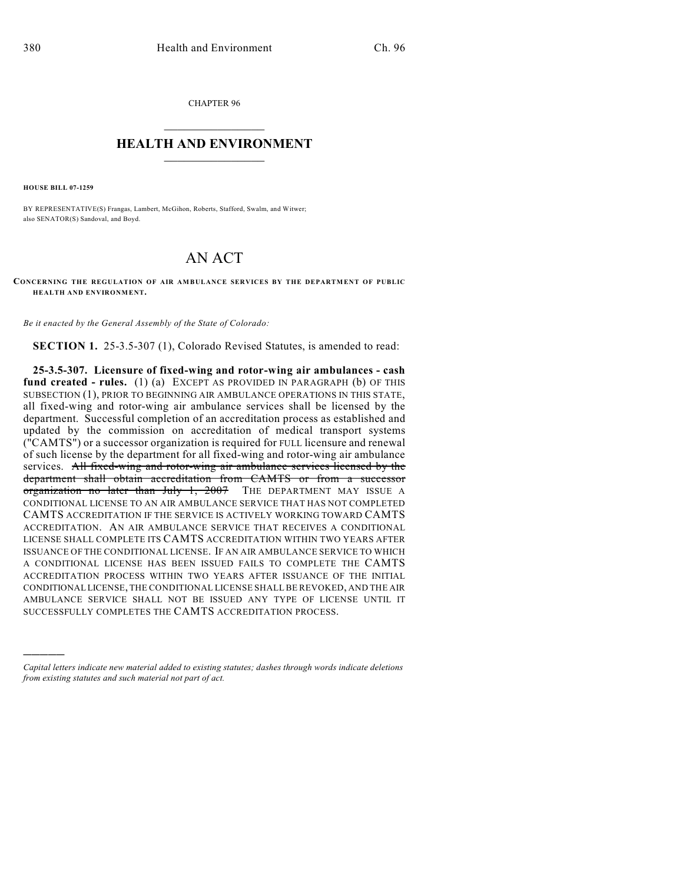CHAPTER 96

## $\mathcal{L}_\text{max}$  . The set of the set of the set of the set of the set of the set of the set of the set of the set of the set of the set of the set of the set of the set of the set of the set of the set of the set of the set **HEALTH AND ENVIRONMENT**  $\_$

**HOUSE BILL 07-1259**

)))))

BY REPRESENTATIVE(S) Frangas, Lambert, McGihon, Roberts, Stafford, Swalm, and Witwer; also SENATOR(S) Sandoval, and Boyd.

## AN ACT

**CONCERNING THE REGULATION OF AIR AMBULANCE SERVICES BY THE DEPARTMENT OF PUBLIC HEALTH AND ENVIRONMENT.**

*Be it enacted by the General Assembly of the State of Colorado:*

**SECTION 1.** 25-3.5-307 (1), Colorado Revised Statutes, is amended to read:

**25-3.5-307. Licensure of fixed-wing and rotor-wing air ambulances - cash fund created - rules.** (1) (a) EXCEPT AS PROVIDED IN PARAGRAPH (b) OF THIS SUBSECTION (1), PRIOR TO BEGINNING AIR AMBULANCE OPERATIONS IN THIS STATE, all fixed-wing and rotor-wing air ambulance services shall be licensed by the department. Successful completion of an accreditation process as established and updated by the commission on accreditation of medical transport systems ("CAMTS") or a successor organization is required for FULL licensure and renewal of such license by the department for all fixed-wing and rotor-wing air ambulance services. All fixed-wing and rotor-wing air ambulance services licensed by the department shall obtain accreditation from CAMTS or from a successor organization no later than July 1, 2007 THE DEPARTMENT MAY ISSUE A CONDITIONAL LICENSE TO AN AIR AMBULANCE SERVICE THAT HAS NOT COMPLETED CAMTS ACCREDITATION IF THE SERVICE IS ACTIVELY WORKING TOWARD CAMTS ACCREDITATION. AN AIR AMBULANCE SERVICE THAT RECEIVES A CONDITIONAL LICENSE SHALL COMPLETE ITS CAMTS ACCREDITATION WITHIN TWO YEARS AFTER ISSUANCE OF THE CONDITIONAL LICENSE. IF AN AIR AMBULANCE SERVICE TO WHICH A CONDITIONAL LICENSE HAS BEEN ISSUED FAILS TO COMPLETE THE CAMTS ACCREDITATION PROCESS WITHIN TWO YEARS AFTER ISSUANCE OF THE INITIAL CONDITIONAL LICENSE, THE CONDITIONAL LICENSE SHALL BE REVOKED, AND THE AIR AMBULANCE SERVICE SHALL NOT BE ISSUED ANY TYPE OF LICENSE UNTIL IT SUCCESSFULLY COMPLETES THE CAMTS ACCREDITATION PROCESS.

*Capital letters indicate new material added to existing statutes; dashes through words indicate deletions from existing statutes and such material not part of act.*